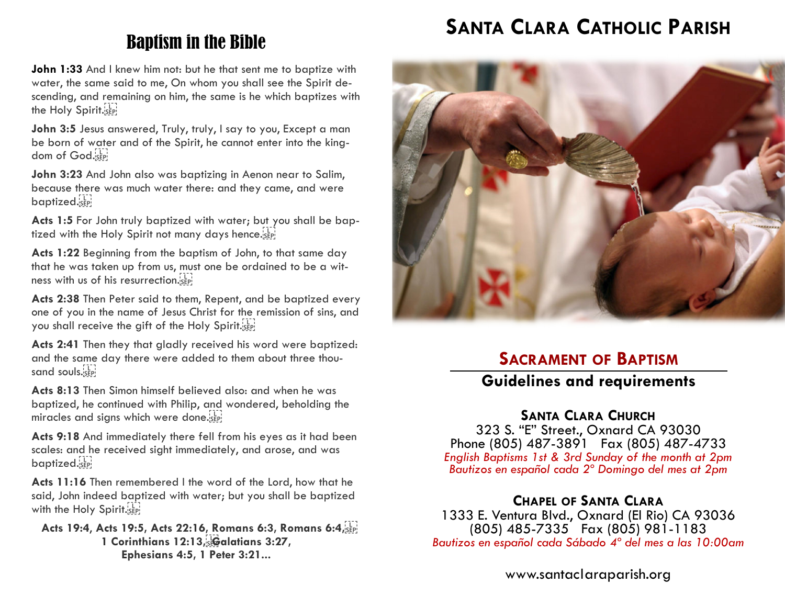# Baptism in the Bible

**John 1:33** And I knew him not: but he that sent me to baptize with water, the same said to me, On whom you shall see the Spirit descending, and remaining on him, the same is he which baptizes with the Holy Spirit. sep-

John 3:5 Jesus answered, Truly, truly, I say to you, Except a man be born of water and of the Spirit, he cannot enter into the kingdom of God.<sup>11</sup>

**John 3:23** And John also was baptizing in Aenon near to Salim, because there was much water there: and they came, and were baptized.

**Acts 1:5** For John truly baptized with water; but you shall be baptized with the Holy Spirit not many days hence.

**Acts 1:22** Beginning from the baptism of John, to that same day that he was taken up from us, must one be ordained to be a witness with us of his resurrection.

**Acts 2:38** Then Peter said to them, Repent, and be baptized every one of you in the name of Jesus Christ for the remission of sins, and you shall receive the gift of the Holy Spirit.

**Acts 2:41** Then they that gladly received his word were baptized: and the same day there were added to them about three thousand souls. SEP!

**Acts 8:13** Then Simon himself believed also: and when he was baptized, he continued with Philip, and wondered, beholding the miracles and signs which were done. SEP!

**Acts 9:18** And immediately there fell from his eyes as it had been scales: and he received sight immediately, and arose, and was baptized.see

**Acts 11:16** Then remembered I the word of the Lord, how that he said, John indeed baptized with water; but you shall be baptized with the Holy Spirit.

**Acts 19:4**, **Acts 19:5, Acts 22:16, Romans 6:3, Romans 6:4, 1 Corinthians 12:13, Galatians 3:27, Ephesians 4:5, 1 Peter 3:21...**

# **SANTA CLARA CATHOLIC PARISH**



## **SACRAMENT OF BAPTISM**

## **Guidelines and requirements**

## **SANTA CLARA CHURCH**

323 S. "E" Street., Oxnard CA 93030 Phone (805) 487-3891 Fax (805) 487-4733 *English Baptisms 1st & 3rd Sunday of the month at 2pm Bautizos en español cada 2º Domingo del mes at 2pm* 

## **CHAPEL OF SANTA CLARA**

1333 E. Ventura Blvd., Oxnard (El Rio) CA 93036 (805) 485-7335 Fax (805) 981-1183 *Bautizos en español cada Sábado 4º del mes a las 10:00am* 

www.santaclaraparish.org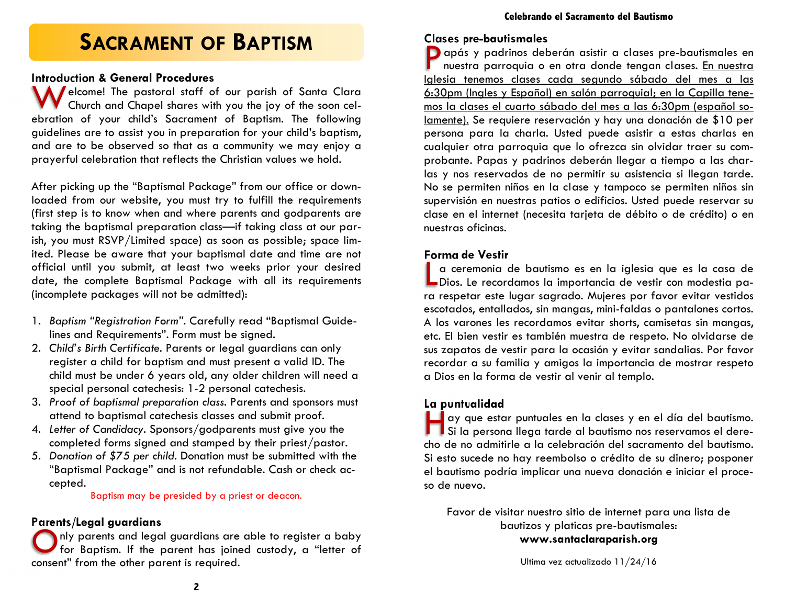# **SACRAMENT OF BAPTISM**

#### **Introduction & General Procedures**

Welcome! The pastoral staff of our parish of Santa Clara<br>Church and Chapel shares with you the joy of the soon celebration of your child's Sacrament of Baptism. The following guidelines are to assist you in preparation for your child's baptism, and are to be observed so that as a community we may enjoy a prayerful celebration that reflects the Christian values we hold.

After picking up the "Baptismal Package" from our office or downloaded from our website, you must try to fulfill the requirements (first step is to know when and where parents and godparents are taking the baptismal preparation class—if taking class at our parish, you must RSVP/Limited space) as soon as possible; space limited. Please be aware that your baptismal date and time are not official until you submit, at least two weeks prior your desired date, the complete Baptismal Package with all its requirements (incomplete packages will not be admitted):

- 1. *Baptism "Registration Form".* Carefully read "Baptismal Guidelines and Requirements". Form must be signed.
- 2. *Child's Birth Certificate.* Parents or legal guardians can only register a child for baptism and must present a valid ID. The child must be under 6 years old, any older children will need a special personal catechesis: 1-2 personal catechesis.
- 3. *Proof of baptismal preparation class.* Parents and sponsors must attend to baptismal catechesis classes and submit proof.
- 4. *Letter of Candidacy.* Sponsors/godparents must give you thecompleted forms signed and stamped by their priest/pastor.
- 5. *Donation of \$75 per child.* Donation must be submitted with the "Baptismal Package" and is not refundable. Cash or check accepted.

Baptism may be presided by a priest or deacon.

#### **Parents/Legal guardians**

O nly parents and legal guardians are able to register a baby for Baptism. If the parent has joined custody, a "letter of consent" from the other parent is required.

#### **Clases pre-bautismales**

P apás y padrinos deberán asistir a clases pre-bautismales en nuestra parroquia o en otra donde tengan clases. En nuestra Iglesia tenemos clases cada segundo sábado del mes a las 6:30pm (Ingles y Español) en salón parroquial; en la Capilla tenemos la clases el cuarto sábado del mes a las 6:30pm (español solamente). Se requiere reservación y hay una donación de \$10 per persona para la charla. Usted puede asistir a estas charlas en cualquier otra parroquia que lo ofrezca sin olvidar traer su comprobante. Papas y padrinos deberán llegar a tiempo a las charlas y nos reservados de no permitir su asistencia si llegan tarde. No se permiten niños en la clase y tampoco se permiten niños sin supervisión en nuestras patios o edificios. Usted puede reservar su clase en el internet (necesita tarjeta de débito o de crédito) o en nuestras oficinas.

#### **Forma de Vestir**

L a ceremonia de bautismo es en la iglesia que es la casa de Dios. Le recordamos la importancia de vestir con modestia para respetar este lugar sagrado. Mujeres por favor evitar vestidos escotados, entallados, sin mangas, mini-faldas o pantalones cortos. A los varones les recordamos evitar shorts, camisetas sin mangas, etc. El bien vestir es también muestra de respeto. No olvidarse de sus zapatos de vestir para la ocasión y evitar sandalias. Por favor recordar a su familia y amigos la importancia de mostrar respeto a Dios en la forma de vestir al venir al templo.

**La puntualidad**  I Si la persona llega tarde al bautismo nos reservamos el derecho de no admitirle a la celebración del sacramento del bautismo. Si esto sucede no hay reembolso o crédito de su dinero; posponer el bautismo podría implicar una nueva donación e iniciar el proceso de nuevo.

Favor de visitar nuestro sitio de internet para una lista de bautizos y platicas pre-bautismales: **www.santaclaraparish.org**

Ultima vez actualizado 11/24/16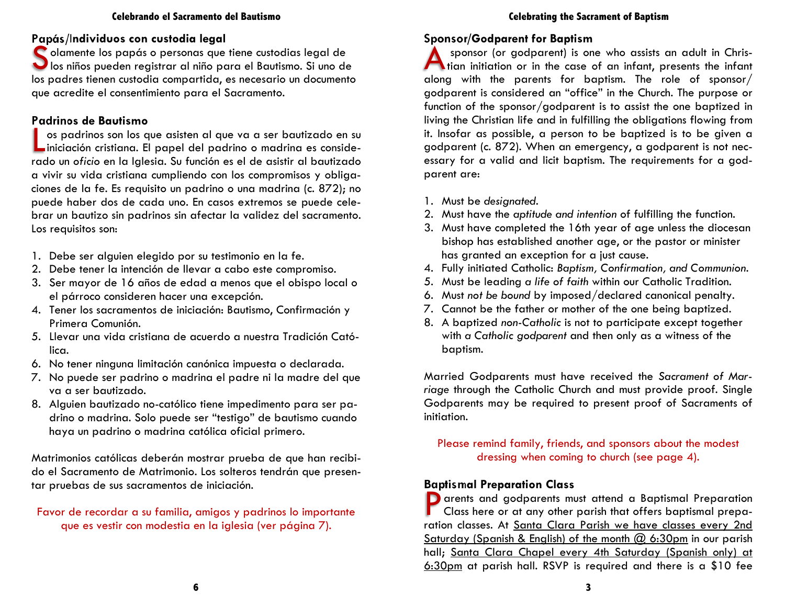#### **Celebrando el Sacramento del Bautismo**

### **Papás/Individuos con custodia legal**

S olamente los papás o personas que tiene custodias legal de<br>S los niños pueden registrar al niño para el Bautismo. Si uno de los padres tienen custodia compartida, es necesario un documento que acredite el consentimiento para el Sacramento.

#### **Padrinos de Bautismo**

L os padrinos son los que asisten al que va a ser bautizado en su iniciación cristiana. El papel del padrino o madrina es considerado un *oficio* en la Iglesia. Su función es el de asistir al bautizado a vivir su vida cristiana cumpliendo con los compromisos y obligaciones de la fe. Es requisito un padrino o una madrina (c. 872); no puede haber dos de cada uno. En casos extremos se puede celebrar un bautizo sin padrinos sin afectar la validez del sacramento. Los requisitos son:

- 1. Debe ser alguien elegido por su testimonio en la fe*.*
- 2. Debe tener la intención de llevar a cabo este compromiso.
- 3. Ser mayor de 16 años de edad a menos que el obispo local o el párroco consideren hacer una excepción.
- 4. Tener los sacramentos de iniciación: Bautismo, Confirmación y Primera Comunión*.*
- 5. Llevar una vida cristiana de acuerdo a nuestra Tradición Católica.
- 6. No tener ninguna limitación canónica impuesta o declarada.
- 7. No puede ser padrino o madrina el padre ni la madre del que va a ser bautizado.
- 8. Alguien bautizado no-católico tiene impedimento para ser padrino o madrina. Solo puede ser "testigo" de bautismo cuando haya un padrino o madrina católica oficial primero.

Matrimonios católicas deberán mostrar prueba de que han recibido el Sacramento de Matrimonio. Los solteros tendrán que presentar pruebas de sus sacramentos de iniciación.

### Favor de recordar a su familia, amigos y padrinos lo importante que es vestir con modestia en la iglesia (ver página 7).

#### **Celebrating the Sacrament of Baptism**

#### **Sponsor/Godparent for Baptism**

A sponsor (or godparent) is one who assists an adult in Chris- tian initiation or in the case of an infant, presents the infant along with the parents for baptism. The role of sponsor/ godparent is considered an "office" in the Church. The purpose or function of the sponsor/godparent is to assist the one baptized in living the Christian life and in fulfilling the obligations flowing from it. Insofar as possible, a person to be baptized is to be given a godparent (c. 872). When an emergency, a godparent is not necessary for a valid and licit baptism. The requirements for a godparent are:

- 1. Must be *designated.*
- 2. Must have the *aptitude and intention* of fulfilling the function.
- 3. Must have completed the 16th year of age unless the diocesan bishop has established another age, or the pastor or minister has granted an exception for a just cause.
- 4. Fully initiated Catholic: *Baptism, Confirmation, and Communion.*
- 5. Must be leading *a life of faith* within our Catholic Tradition.
- 6. Must *not be bound* by imposed/declared canonical penalty.
- 7. Cannot be the father or mother of the one being baptized.
- 8. A baptized *non-Catholic* is not to participate except together with *a Catholic godparent* and then only as a witness of the baptism.

Married Godparents must have received the *Sacrament of Marriage* through the Catholic Church and must provide proof. Single Godparents may be required to present proof of Sacraments of initiation.

Please remind family, friends, and sponsors about the modest dressing when coming to church (see page 4).

### **Baptismal Preparation Class**

P arents and godparents must attend a Baptismal Preparation<br>Class here or at any other parish that offers baptismal preparation classes. At Santa Clara Parish we have classes every 2nd Saturday (Spanish & English) of the month @ 6:30pm in our parish hall; Santa Clara Chapel every 4th Saturday (Spanish only) at 6:30pm at parish hall. RSVP is required and there is a \$10 fee